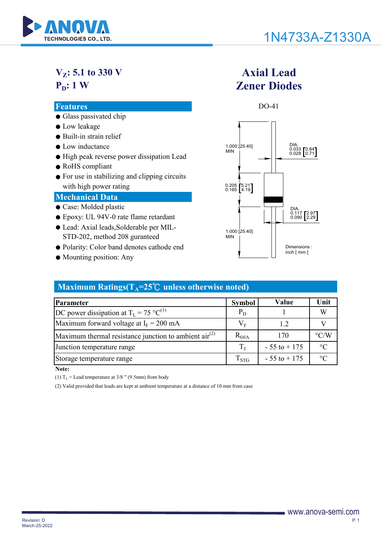

# 1N4733A-Z1330A

**Axial Lead**

## **VZ: 5.1 to 330 V P<sub>D</sub>: 1 W**

# **Zener Diodes**

MIN



- STD-202, method 208 guranteed
- Polarity: Color band denotes cathode end
- Mounting position: Any

#### Dimensions : inch [ mm ]

#### **Maximum Ratings(** $T_A = 25^\circ \text{C}$  **unless otherwise noted)**

| <b>Parameter</b>                                               | <b>Symbol</b>      | Value           | Unit               |
|----------------------------------------------------------------|--------------------|-----------------|--------------------|
| DC power dissipation at $T_L = 75 \text{ °C}^{(1)}$            | $P_D$              |                 | W                  |
| Maximum forward voltage at $I_F = 200$ mA                      | $\rm V_F$          | 1.2             |                    |
| Maximum thermal resistance junction to ambient $\arctan^{(2)}$ | $R_{\Theta JA}$    | 170             | $\rm ^{\circ}$ C/W |
| Junction temperature range                                     | $T_{\rm L}$        | $-55$ to $+175$ | $\circ$ C          |
| Storage temperature range                                      | $\mathrm{T_{STG}}$ | $-55$ to $+175$ | $\circ$            |

**Note:**

(1)  $T_L$  = Lead temperature at 3/8 " (9.5mm) from body

(2) Valid provided that leads are kept at ambient temperature at a distance of 10 mm from case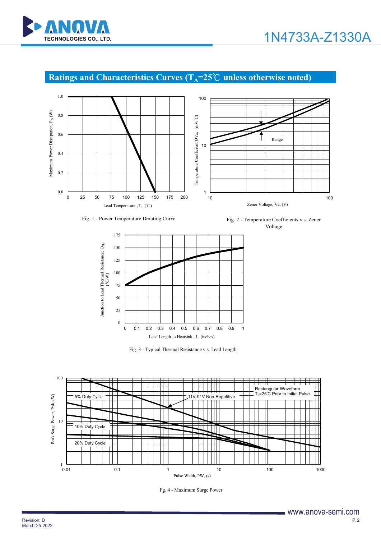

### **Ratings and Characteristics Curves (T<sub>A</sub>=25℃ unless otherwise noted)**





Fig. 1 - Power Temperature Derating Curve Fig. 2 - Temperature Coefficients v.s. Zener Voltage



Fig. 3 - Typical Thermal Resistance v.s. Lead Length